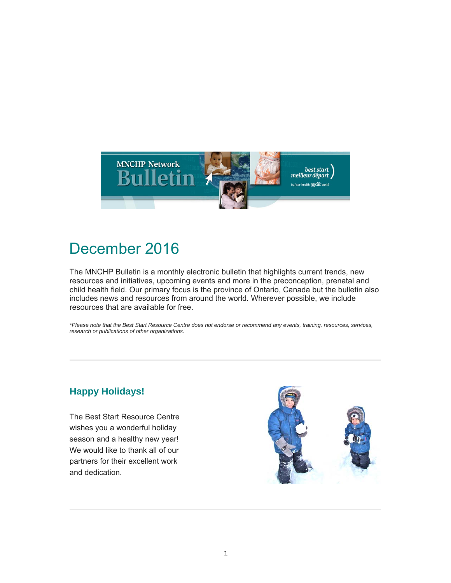

# December 2016

The MNCHP Bulletin is a monthly electronic bulletin that highlights current trends, new resources and initiatives, upcoming events and more in the preconception, prenatal and child health field. Our primary focus is the province of Ontario, Canada but the bulletin also includes news and resources from around the world. Wherever possible, we include resources that are available for free.

*\*Please note that the Best Start Resource Centre does not endorse or recommend any events, training, resources, services, research or publications of other organizations.*

# **Happy Holidays!**

The Best Start Resource Centre wishes you a wonderful holiday season and a healthy new year! We would like to thank all of our partners for their excellent work and dedication.

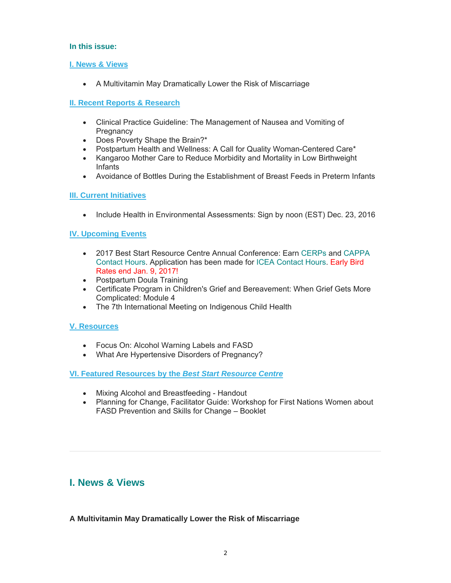# **In this issue:**

# **I. News & Views**

A Multivitamin May Dramatically Lower the Risk of Miscarriage

# **II. Recent Reports & Research**

- Clinical Practice Guideline: The Management of Nausea and Vomiting of **Pregnancy**
- Does Poverty Shape the Brain?\*
- Postpartum Health and Wellness: A Call for Quality Woman-Centered Care\*
- Kangaroo Mother Care to Reduce Morbidity and Mortality in Low Birthweight Infants
- Avoidance of Bottles During the Establishment of Breast Feeds in Preterm Infants

# **III. Current Initiatives**

• Include Health in Environmental Assessments: Sign by noon (EST) Dec. 23, 2016

# **IV. Upcoming Events**

- 2017 Best Start Resource Centre Annual Conference: Earn CERPs and CAPPA Contact Hours. Application has been made for ICEA Contact Hours. Early Bird Rates end Jan. 9, 2017!
- Postpartum Doula Training
- Certificate Program in Children's Grief and Bereavement: When Grief Gets More Complicated: Module 4
- The 7th International Meeting on Indigenous Child Health

# **V. Resources**

- Focus On: Alcohol Warning Labels and FASD
- What Are Hypertensive Disorders of Pregnancy?

# **VI. Featured Resources by the** *Best Start Resource Centre*

- Mixing Alcohol and Breastfeeding Handout
- Planning for Change, Facilitator Guide: Workshop for First Nations Women about FASD Prevention and Skills for Change – Booklet

# **I. News & Views**

**A Multivitamin May Dramatically Lower the Risk of Miscarriage**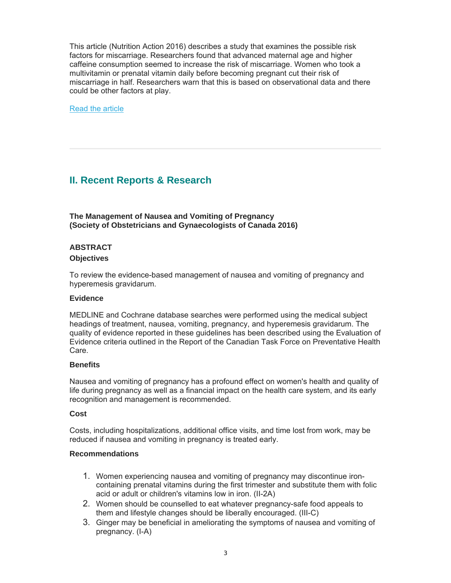This article (Nutrition Action 2016) describes a study that examines the possible risk factors for miscarriage. Researchers found that advanced maternal age and higher caffeine consumption seemed to increase the risk of miscarriage. Women who took a multivitamin or prenatal vitamin daily before becoming pregnant cut their risk of miscarriage in half. Researchers warn that this is based on observational data and there could be other factors at play.

Read the article

# **II. Recent Reports & Research**

**The Management of Nausea and Vomiting of Pregnancy (Society of Obstetricians and Gynaecologists of Canada 2016)** 

# **ABSTRACT**

#### **Objectives**

To review the evidence-based management of nausea and vomiting of pregnancy and hyperemesis gravidarum.

#### **Evidence**

MEDLINE and Cochrane database searches were performed using the medical subject headings of treatment, nausea, vomiting, pregnancy, and hyperemesis gravidarum. The quality of evidence reported in these guidelines has been described using the Evaluation of Evidence criteria outlined in the Report of the Canadian Task Force on Preventative Health Care.

# **Benefits**

Nausea and vomiting of pregnancy has a profound effect on women's health and quality of life during pregnancy as well as a financial impact on the health care system, and its early recognition and management is recommended.

#### **Cost**

Costs, including hospitalizations, additional office visits, and time lost from work, may be reduced if nausea and vomiting in pregnancy is treated early.

#### **Recommendations**

- 1. Women experiencing nausea and vomiting of pregnancy may discontinue ironcontaining prenatal vitamins during the first trimester and substitute them with folic acid or adult or children's vitamins low in iron. (II-2A)
- 2. Women should be counselled to eat whatever pregnancy-safe food appeals to them and lifestyle changes should be liberally encouraged. (III-C)
- 3. Ginger may be beneficial in ameliorating the symptoms of nausea and vomiting of pregnancy. (I-A)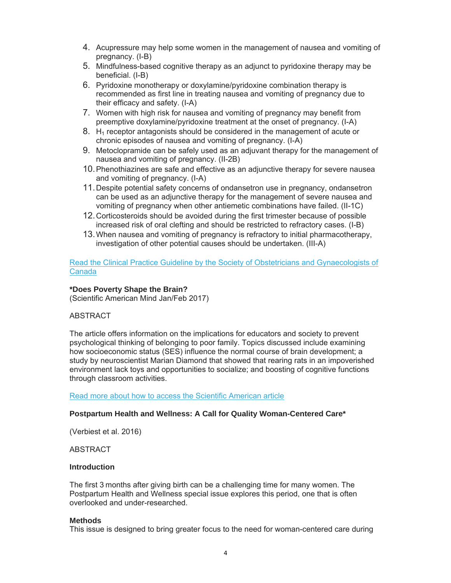- 4. Acupressure may help some women in the management of nausea and vomiting of pregnancy. (I-B)
- 5. Mindfulness-based cognitive therapy as an adjunct to pyridoxine therapy may be beneficial. (I-B)
- 6. Pyridoxine monotherapy or doxylamine/pyridoxine combination therapy is recommended as first line in treating nausea and vomiting of pregnancy due to their efficacy and safety. (I-A)
- 7. Women with high risk for nausea and vomiting of pregnancy may benefit from preemptive doxylamine/pyridoxine treatment at the onset of pregnancy. (I-A)
- 8. H<sub>1</sub> receptor antagonists should be considered in the management of acute or chronic episodes of nausea and vomiting of pregnancy. (I-A)
- 9. Metoclopramide can be safely used as an adjuvant therapy for the management of nausea and vomiting of pregnancy. (II-2B)
- 10. Phenothiazines are safe and effective as an adjunctive therapy for severe nausea and vomiting of pregnancy. (I-A)
- 11. Despite potential safety concerns of ondansetron use in pregnancy, ondansetron can be used as an adjunctive therapy for the management of severe nausea and vomiting of pregnancy when other antiemetic combinations have failed. (II-1C)
- 12. Corticosteroids should be avoided during the first trimester because of possible increased risk of oral clefting and should be restricted to refractory cases. (I-B)
- 13. When nausea and vomiting of pregnancy is refractory to initial pharmacotherapy, investigation of other potential causes should be undertaken. (III-A)

Read the Clinical Practice Guideline by the Society of Obstetricians and Gynaecologists of Canada

#### **\*Does Poverty Shape the Brain?**

(Scientific American Mind Jan/Feb 2017)

# **ABSTRACT**

The article offers information on the implications for educators and society to prevent psychological thinking of belonging to poor family. Topics discussed include examining how socioeconomic status (SES) influence the normal course of brain development; a study by neuroscientist Marian Diamond that showed that rearing rats in an impoverished environment lack toys and opportunities to socialize; and boosting of cognitive functions through classroom activities.

Read more about how to access the Scientific American article

#### **Postpartum Health and Wellness: A Call for Quality Woman-Centered Care\***

(Verbiest et al. 2016)

ABSTRACT

#### **Introduction**

The first 3 months after giving birth can be a challenging time for many women. The Postpartum Health and Wellness special issue explores this period, one that is often overlooked and under-researched.

#### **Methods**

This issue is designed to bring greater focus to the need for woman-centered care during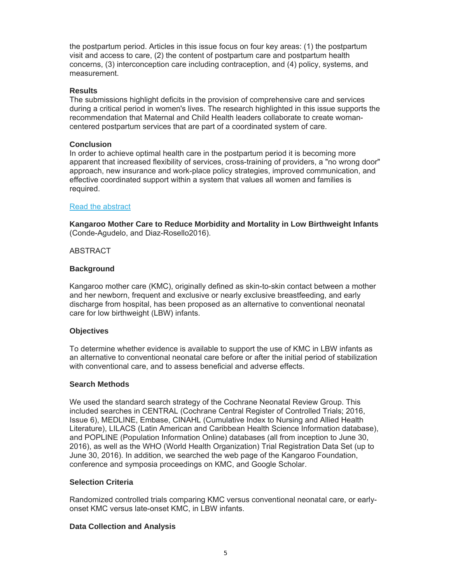the postpartum period. Articles in this issue focus on four key areas: (1) the postpartum visit and access to care, (2) the content of postpartum care and postpartum health concerns, (3) interconception care including contraception, and (4) policy, systems, and measurement.

#### **Results**

The submissions highlight deficits in the provision of comprehensive care and services during a critical period in women's lives. The research highlighted in this issue supports the recommendation that Maternal and Child Health leaders collaborate to create womancentered postpartum services that are part of a coordinated system of care.

#### **Conclusion**

In order to achieve optimal health care in the postpartum period it is becoming more apparent that increased flexibility of services, cross-training of providers, a "no wrong door" approach, new insurance and work-place policy strategies, improved communication, and effective coordinated support within a system that values all women and families is required.

#### Read the abstract

**Kangaroo Mother Care to Reduce Morbidity and Mortality in Low Birthweight Infants** (Conde-Agudelo, and Diaz-Rosello2016).

#### **ABSTRACT**

#### **Background**

Kangaroo mother care (KMC), originally defined as skin-to-skin contact between a mother and her newborn, frequent and exclusive or nearly exclusive breastfeeding, and early discharge from hospital, has been proposed as an alternative to conventional neonatal care for low birthweight (LBW) infants.

#### **Objectives**

To determine whether evidence is available to support the use of KMC in LBW infants as an alternative to conventional neonatal care before or after the initial period of stabilization with conventional care, and to assess beneficial and adverse effects.

#### **Search Methods**

We used the standard search strategy of the Cochrane Neonatal Review Group. This included searches in CENTRAL (Cochrane Central Register of Controlled Trials; 2016, Issue 6), MEDLINE, Embase, CINAHL (Cumulative Index to Nursing and Allied Health Literature), LILACS (Latin American and Caribbean Health Science Information database), and POPLINE (Population Information Online) databases (all from inception to June 30, 2016), as well as the WHO (World Health Organization) Trial Registration Data Set (up to June 30, 2016). In addition, we searched the web page of the Kangaroo Foundation, conference and symposia proceedings on KMC, and Google Scholar.

# **Selection Criteria**

Randomized controlled trials comparing KMC versus conventional neonatal care, or earlyonset KMC versus late-onset KMC, in LBW infants.

# **Data Collection and Analysis**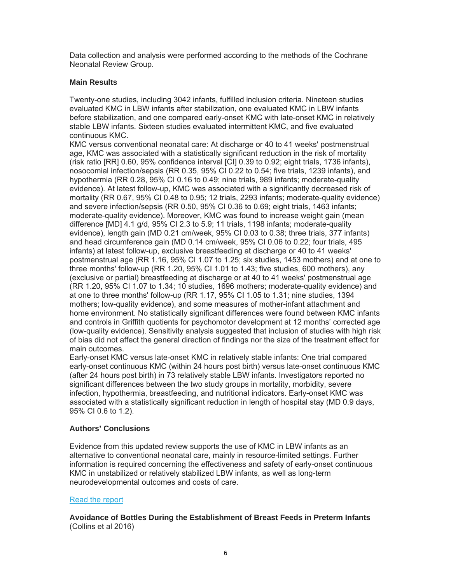Data collection and analysis were performed according to the methods of the Cochrane Neonatal Review Group.

#### **Main Results**

Twenty-one studies, including 3042 infants, fulfilled inclusion criteria. Nineteen studies evaluated KMC in LBW infants after stabilization, one evaluated KMC in LBW infants before stabilization, and one compared early-onset KMC with late-onset KMC in relatively stable LBW infants. Sixteen studies evaluated intermittent KMC, and five evaluated continuous KMC.

KMC versus conventional neonatal care: At discharge or 40 to 41 weeks' postmenstrual age, KMC was associated with a statistically significant reduction in the risk of mortality (risk ratio [RR] 0.60, 95% confidence interval [CI] 0.39 to 0.92; eight trials, 1736 infants), nosocomial infection/sepsis (RR 0.35, 95% CI 0.22 to 0.54; five trials, 1239 infants), and hypothermia (RR 0.28, 95% CI 0.16 to 0.49; nine trials, 989 infants; moderate-quality evidence). At latest follow-up, KMC was associated with a significantly decreased risk of mortality (RR 0.67, 95% CI 0.48 to 0.95; 12 trials, 2293 infants; moderate-quality evidence) and severe infection/sepsis (RR 0.50, 95% CI 0.36 to 0.69; eight trials, 1463 infants; moderate-quality evidence). Moreover, KMC was found to increase weight gain (mean difference [MD] 4.1 g/d, 95% CI 2.3 to 5.9; 11 trials, 1198 infants; moderate-quality evidence), length gain (MD 0.21 cm/week, 95% CI 0.03 to 0.38; three trials, 377 infants) and head circumference gain (MD 0.14 cm/week, 95% CI 0.06 to 0.22; four trials, 495 infants) at latest follow-up, exclusive breastfeeding at discharge or 40 to 41 weeks' postmenstrual age (RR 1.16, 95% CI 1.07 to 1.25; six studies, 1453 mothers) and at one to three months' follow-up (RR 1.20, 95% CI 1.01 to 1.43; five studies, 600 mothers), any (exclusive or partial) breastfeeding at discharge or at 40 to 41 weeks' postmenstrual age (RR 1.20, 95% CI 1.07 to 1.34; 10 studies, 1696 mothers; moderate-quality evidence) and at one to three months' follow-up (RR 1.17, 95% CI 1.05 to 1.31; nine studies, 1394 mothers; low-quality evidence), and some measures of mother-infant attachment and home environment. No statistically significant differences were found between KMC infants and controls in Griffith quotients for psychomotor development at 12 months' corrected age (low-quality evidence). Sensitivity analysis suggested that inclusion of studies with high risk of bias did not affect the general direction of findings nor the size of the treatment effect for main outcomes.

Early-onset KMC versus late-onset KMC in relatively stable infants: One trial compared early-onset continuous KMC (within 24 hours post birth) versus late-onset continuous KMC (after 24 hours post birth) in 73 relatively stable LBW infants. Investigators reported no significant differences between the two study groups in mortality, morbidity, severe infection, hypothermia, breastfeeding, and nutritional indicators. Early-onset KMC was associated with a statistically significant reduction in length of hospital stay (MD 0.9 days, 95% CI 0.6 to 1.2).

#### **Authors' Conclusions**

Evidence from this updated review supports the use of KMC in LBW infants as an alternative to conventional neonatal care, mainly in resource-limited settings. Further information is required concerning the effectiveness and safety of early-onset continuous KMC in unstabilized or relatively stabilized LBW infants, as well as long-term neurodevelopmental outcomes and costs of care.

#### Read the report

**Avoidance of Bottles During the Establishment of Breast Feeds in Preterm Infants** (Collins et al 2016)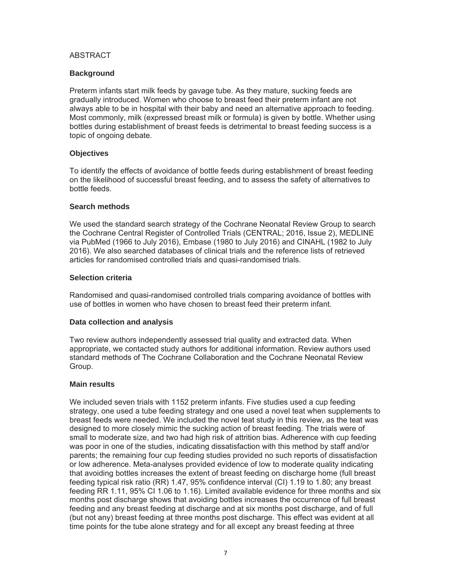# ABSTRACT

# **Background**

Preterm infants start milk feeds by gavage tube. As they mature, sucking feeds are gradually introduced. Women who choose to breast feed their preterm infant are not always able to be in hospital with their baby and need an alternative approach to feeding. Most commonly, milk (expressed breast milk or formula) is given by bottle. Whether using bottles during establishment of breast feeds is detrimental to breast feeding success is a topic of ongoing debate.

# **Objectives**

To identify the effects of avoidance of bottle feeds during establishment of breast feeding on the likelihood of successful breast feeding, and to assess the safety of alternatives to bottle feeds.

# **Search methods**

We used the standard search strategy of the Cochrane Neonatal Review Group to search the Cochrane Central Register of Controlled Trials (CENTRAL; 2016, Issue 2), MEDLINE via PubMed (1966 to July 2016), Embase (1980 to July 2016) and CINAHL (1982 to July 2016). We also searched databases of clinical trials and the reference lists of retrieved articles for randomised controlled trials and quasi-randomised trials.

# **Selection criteria**

Randomised and quasi-randomised controlled trials comparing avoidance of bottles with use of bottles in women who have chosen to breast feed their preterm infant.

# **Data collection and analysis**

Two review authors independently assessed trial quality and extracted data. When appropriate, we contacted study authors for additional information. Review authors used standard methods of The Cochrane Collaboration and the Cochrane Neonatal Review Group.

# **Main results**

We included seven trials with 1152 preterm infants. Five studies used a cup feeding strategy, one used a tube feeding strategy and one used a novel teat when supplements to breast feeds were needed. We included the novel teat study in this review, as the teat was designed to more closely mimic the sucking action of breast feeding. The trials were of small to moderate size, and two had high risk of attrition bias. Adherence with cup feeding was poor in one of the studies, indicating dissatisfaction with this method by staff and/or parents; the remaining four cup feeding studies provided no such reports of dissatisfaction or low adherence. Meta-analyses provided evidence of low to moderate quality indicating that avoiding bottles increases the extent of breast feeding on discharge home (full breast feeding typical risk ratio (RR) 1.47, 95% confidence interval (CI) 1.19 to 1.80; any breast feeding RR 1.11, 95% CI 1.06 to 1.16). Limited available evidence for three months and six months post discharge shows that avoiding bottles increases the occurrence of full breast feeding and any breast feeding at discharge and at six months post discharge, and of full (but not any) breast feeding at three months post discharge. This effect was evident at all time points for the tube alone strategy and for all except any breast feeding at three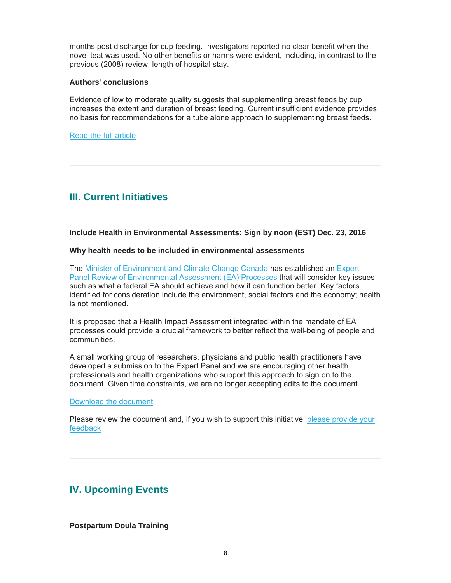months post discharge for cup feeding. Investigators reported no clear benefit when the novel teat was used. No other benefits or harms were evident, including, in contrast to the previous (2008) review, length of hospital stay.

#### **Authors' conclusions**

Evidence of low to moderate quality suggests that supplementing breast feeds by cup increases the extent and duration of breast feeding. Current insufficient evidence provides no basis for recommendations for a tube alone approach to supplementing breast feeds.

Read the full article

# **III. Current Initiatives**

**Include Health in Environmental Assessments: Sign by noon (EST) Dec. 23, 2016** 

#### **Why health needs to be included in environmental assessments**

The Minister of Environment and Climate Change Canada has established an Expert Panel Review of Environmental Assessment (EA) Processes that will consider key issues such as what a federal EA should achieve and how it can function better. Key factors identified for consideration include the environment, social factors and the economy; health is not mentioned.

It is proposed that a Health Impact Assessment integrated within the mandate of EA processes could provide a crucial framework to better reflect the well-being of people and communities.

A small working group of researchers, physicians and public health practitioners have developed a submission to the Expert Panel and we are encouraging other health professionals and health organizations who support this approach to sign on to the document. Given time constraints, we are no longer accepting edits to the document.

Download the document

Please review the document and, if you wish to support this initiative, please provide your feedback

# **IV. Upcoming Events**

**Postpartum Doula Training**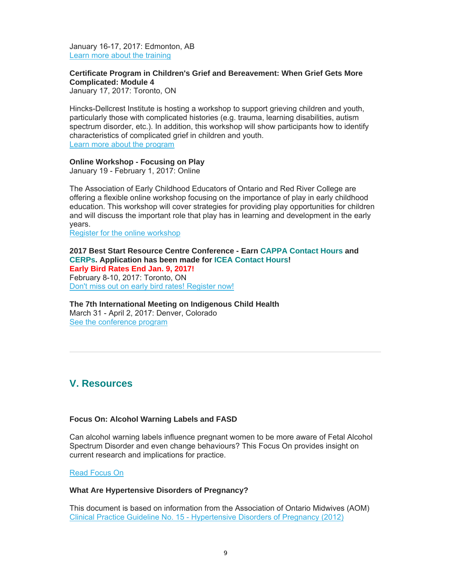January 16-17, 2017: Edmonton, AB Learn more about the training

# **Certificate Program in Children's Grief and Bereavement: When Grief Gets More Complicated: Module 4**

January 17, 2017: Toronto, ON

Hincks-Dellcrest Institute is hosting a workshop to support grieving children and youth, particularly those with complicated histories (e.g. trauma, learning disabilities, autism spectrum disorder, etc.). In addition, this workshop will show participants how to identify characteristics of complicated grief in children and youth. Learn more about the program

#### **Online Workshop - Focusing on Play**

January 19 - February 1, 2017: Online

The Association of Early Childhood Educators of Ontario and Red River College are offering a flexible online workshop focusing on the importance of play in early childhood education. This workshop will cover strategies for providing play opportunities for children and will discuss the important role that play has in learning and development in the early years.

Register for the online workshop

**2017 Best Start Resource Centre Conference - Earn CAPPA Contact Hours and CERPs. Application has been made for ICEA Contact Hours! Early Bird Rates End Jan. 9, 2017!** February 8-10, 2017: Toronto, ON Don't miss out on early bird rates! Register now!

# **The 7th International Meeting on Indigenous Child Health** March 31 - April 2, 2017: Denver, Colorado

See the conference program

# **V. Resources**

#### **Focus On: Alcohol Warning Labels and FASD**

Can alcohol warning labels influence pregnant women to be more aware of Fetal Alcohol Spectrum Disorder and even change behaviours? This Focus On provides insight on current research and implications for practice.

#### Read Focus On

#### **What Are Hypertensive Disorders of Pregnancy?**

This document is based on information from the Association of Ontario Midwives (AOM) Clinical Practice Guideline No. 15 - Hypertensive Disorders of Pregnancy (2012)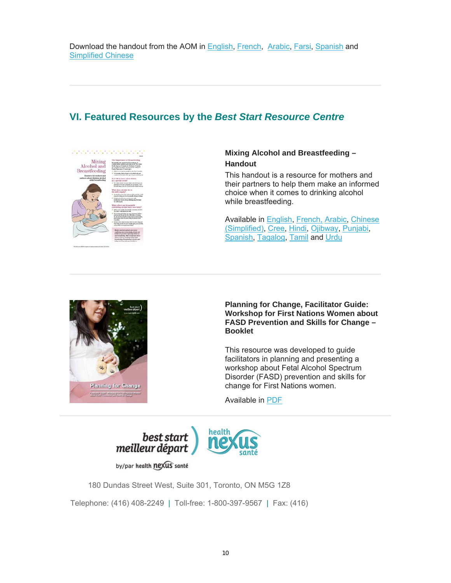# **VI. Featured Resources by the** *Best Start Resource Centre*



# **Mixing Alcohol and Breastfeeding – Handout**

This handout is a resource for mothers and their partners to help them make an informed choice when it comes to drinking alcohol while breastfeeding.

Available in English, French, Arabic, Chinese (Simplified), Cree, Hindi, Ojibway, Punjabi, Spanish, Tagalog, Tamil and Urdu



**Planning for Change, Facilitator Guide: Workshop for First Nations Women about FASD Prevention and Skills for Change – Booklet** 

This resource was developed to guide facilitators in planning and presenting a workshop about Fetal Alcohol Spectrum Disorder (FASD) prevention and skills for change for First Nations women.

Available in PDF



by/par health nexus santé

180 Dundas Street West, Suite 301, Toronto, ON M5G 1Z8

Telephone: (416) 408-2249 | Toll-free: 1-800-397-9567 | Fax: (416)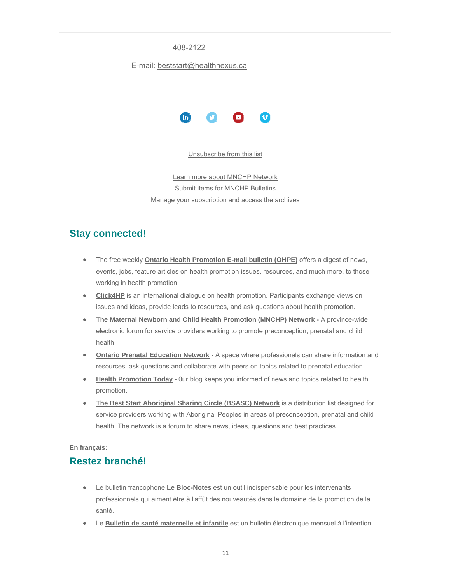#### 408-2122

#### E-mail: beststart@healthnexus.ca



Unsubscribe from this list

Learn more about MNCHP Network Submit items for MNCHP Bulletins Manage your subscription and access the archives

# **Stay connected!**

- The free weekly **Ontario Health Promotion E-mail bulletin (OHPE)** offers a digest of news, events, jobs, feature articles on health promotion issues, resources, and much more, to those working in health promotion.
- **Click4HP** is an international dialogue on health promotion. Participants exchange views on issues and ideas, provide leads to resources, and ask questions about health promotion.
- **The Maternal Newborn and Child Health Promotion (MNCHP) Network A province-wide** electronic forum for service providers working to promote preconception, prenatal and child health.
- **Ontario Prenatal Education Network -** A space where professionals can share information and resources, ask questions and collaborate with peers on topics related to prenatal education.
- **Health Promotion Today** 0ur blog keeps you informed of news and topics related to health promotion.
- **The Best Start Aboriginal Sharing Circle (BSASC) Network** is a distribution list designed for service providers working with Aboriginal Peoples in areas of preconception, prenatal and child health. The network is a forum to share news, ideas, questions and best practices.

**En français:**

# **Restez branché!**

- Le bulletin francophone **Le Bloc-Notes** est un outil indispensable pour les intervenants professionnels qui aiment être à l'affût des nouveautés dans le domaine de la promotion de la santé.
- Le **Bulletin de santé maternelle et infantile** est un bulletin électronique mensuel à l'intention